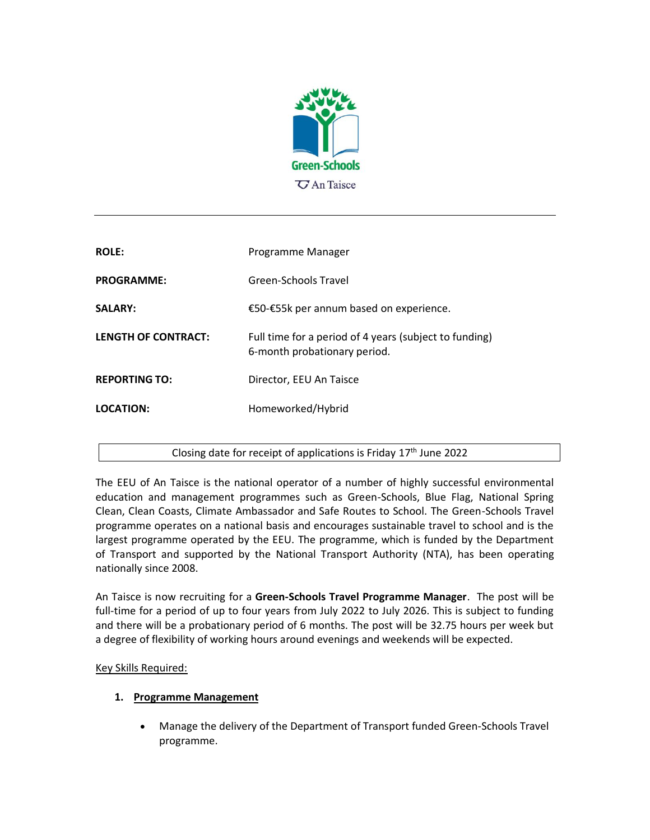

| <b>ROLE:</b>         | Programme Manager                                                                      |
|----------------------|----------------------------------------------------------------------------------------|
| <b>PROGRAMME:</b>    | Green-Schools Travel                                                                   |
| <b>SALARY:</b>       | €50-€55k per annum based on experience.                                                |
| LENGTH OF CONTRACT:  | Full time for a period of 4 years (subject to funding)<br>6-month probationary period. |
| <b>REPORTING TO:</b> | Director, EEU An Taisce                                                                |
| LOCATION:            | Homeworked/Hybrid                                                                      |
|                      |                                                                                        |

## Closing date for receipt of applications is Friday 17<sup>th</sup> June 2022

The EEU of An Taisce is the national operator of a number of highly successful environmental education and management programmes such as Green-Schools, Blue Flag, National Spring Clean, Clean Coasts, Climate Ambassador and Safe Routes to School. The Green-Schools Travel programme operates on a national basis and encourages sustainable travel to school and is the largest programme operated by the EEU. The programme, which is funded by the Department of Transport and supported by the National Transport Authority (NTA), has been operating nationally since 2008.

An Taisce is now recruiting for a **Green-Schools Travel Programme Manager**. The post will be full-time for a period of up to four years from July 2022 to July 2026. This is subject to funding and there will be a probationary period of 6 months. The post will be 32.75 hours per week but a degree of flexibility of working hours around evenings and weekends will be expected.

Key Skills Required:

## **1. Programme Management**

• Manage the delivery of the Department of Transport funded Green-Schools Travel programme.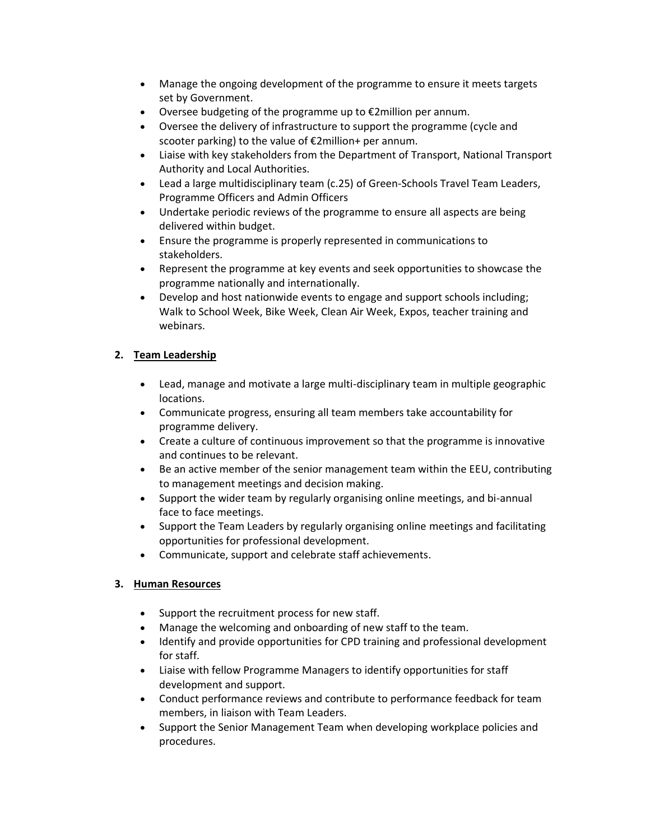- Manage the ongoing development of the programme to ensure it meets targets set by Government.
- Oversee budgeting of the programme up to €2million per annum.
- Oversee the delivery of infrastructure to support the programme (cycle and scooter parking) to the value of €2million+ per annum.
- Liaise with key stakeholders from the Department of Transport, National Transport Authority and Local Authorities.
- Lead a large multidisciplinary team (c.25) of Green-Schools Travel Team Leaders, Programme Officers and Admin Officers
- Undertake periodic reviews of the programme to ensure all aspects are being delivered within budget.
- Ensure the programme is properly represented in communications to stakeholders.
- Represent the programme at key events and seek opportunities to showcase the programme nationally and internationally.
- Develop and host nationwide events to engage and support schools including; Walk to School Week, Bike Week, Clean Air Week, Expos, teacher training and webinars.

# **2. Team Leadership**

- Lead, manage and motivate a large multi-disciplinary team in multiple geographic locations.
- Communicate progress, ensuring all team members take accountability for programme delivery.
- Create a culture of continuous improvement so that the programme is innovative and continues to be relevant.
- Be an active member of the senior management team within the EEU, contributing to management meetings and decision making.
- Support the wider team by regularly organising online meetings, and bi-annual face to face meetings.
- Support the Team Leaders by regularly organising online meetings and facilitating opportunities for professional development.
- Communicate, support and celebrate staff achievements.

# **3. Human Resources**

- Support the recruitment process for new staff.
- Manage the welcoming and onboarding of new staff to the team.
- Identify and provide opportunities for CPD training and professional development for staff.
- Liaise with fellow Programme Managers to identify opportunities for staff development and support.
- Conduct performance reviews and contribute to performance feedback for team members, in liaison with Team Leaders.
- Support the Senior Management Team when developing workplace policies and procedures.